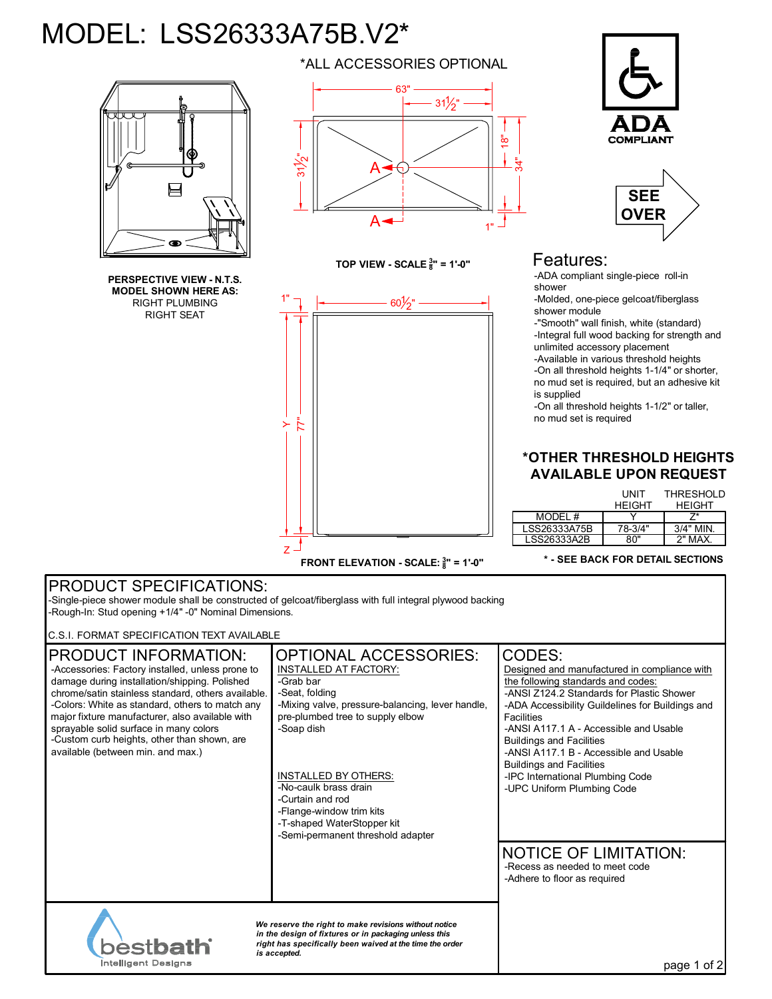## MODEL: LSS26333A75B.V2\*



**PERSPECTIVE VIEW - N.T.S. MODEL SHOWN HERE AS:** RIGHT PLUMBING RIGHT SEAT



**TOP VIEW - SCALE <sup>3</sup> <sup>8</sup>" = 1'-0"**







## Features:

-ADA compliant single-piece roll-in shower

-Molded, one-piece gelcoat/fiberglass shower module

-"Smooth" wall finish, white (standard) -Integral full wood backing for strength and unlimited accessory placement -Available in various threshold heights -On all threshold heights 1-1/4" or shorter,

no mud set is required, but an adhesive kit is supplied

-On all threshold heights 1-1/2" or taller, no mud set is required

## **\*OTHER THRESHOLD HEIGHTS AVAILABLE UPON REQUEST**

|              | UNIT<br><b>HFIGHT</b> | THRESHOLD<br><b>HEIGHT</b> |
|--------------|-----------------------|----------------------------|
| MODEL #      |                       |                            |
| LSS26333A75B | 78-3/4"               | $3/4"$ MIN                 |
| LSS26333A2B  | ጸበ"                   | 2" MAX                     |

**\* - SEE BACK FOR DETAIL SECTIONS**

## PRODUCT SPECIFICATIONS:

-Single-piece shower module shall be constructed of gelcoat/fiberglass with full integral plywood backing -Rough-In: Stud opening +1/4" -0" Nominal Dimensions.

C.S.I. FORMAT SPECIFICATION TEXT AVAILABLE

| <b>PRODUCT INFORMATION:</b><br>-Accessories: Factory installed, unless prone to<br>damage during installation/shipping. Polished<br>chrome/satin stainless standard, others available.<br>-Colors: White as standard, others to match any<br>major fixture manufacturer, also available with<br>sprayable solid surface in many colors<br>-Custom curb heights, other than shown, are<br>available (between min. and max.) | <b>OPTIONAL ACCESSORIES:</b><br>INSTALLED AT FACTORY:<br>-Grab bar<br>-Seat, folding<br>-Mixing valve, pressure-balancing, lever handle,<br>pre-plumbed tree to supply elbow<br>-Soap dish<br><b>INSTALLED BY OTHERS:</b><br>-No-caulk brass drain<br>-Curtain and rod<br>-Flange-window trim kits<br>-T-shaped WaterStopper kit<br>-Semi-permanent threshold adapter | CODES:<br>Designed and manufactured in compliance with<br>the following standards and codes:<br>-ANSI Z124.2 Standards for Plastic Shower<br>-ADA Accessibility Guildelines for Buildings and<br>Facilities<br>-ANSI A117.1 A - Accessible and Usable<br><b>Buildings and Facilities</b><br>-ANSI A117.1 B - Accessible and Usable<br><b>Buildings and Facilities</b><br>-IPC International Plumbing Code<br>-UPC Uniform Plumbing Code<br><b>NOTICE OF LIMITATION:</b><br>-Recess as needed to meet code<br>-Adhere to floor as required |
|----------------------------------------------------------------------------------------------------------------------------------------------------------------------------------------------------------------------------------------------------------------------------------------------------------------------------------------------------------------------------------------------------------------------------|-----------------------------------------------------------------------------------------------------------------------------------------------------------------------------------------------------------------------------------------------------------------------------------------------------------------------------------------------------------------------|-------------------------------------------------------------------------------------------------------------------------------------------------------------------------------------------------------------------------------------------------------------------------------------------------------------------------------------------------------------------------------------------------------------------------------------------------------------------------------------------------------------------------------------------|
| We reserve the right to make revisions without notice<br>in the design of fixtures or in packaging unless this<br><b>bestbath</b><br>right has specifically been waived at the time the order<br>is accepted.<br>Intelligent Designs                                                                                                                                                                                       |                                                                                                                                                                                                                                                                                                                                                                       | page 1 of 2                                                                                                                                                                                                                                                                                                                                                                                                                                                                                                                               |